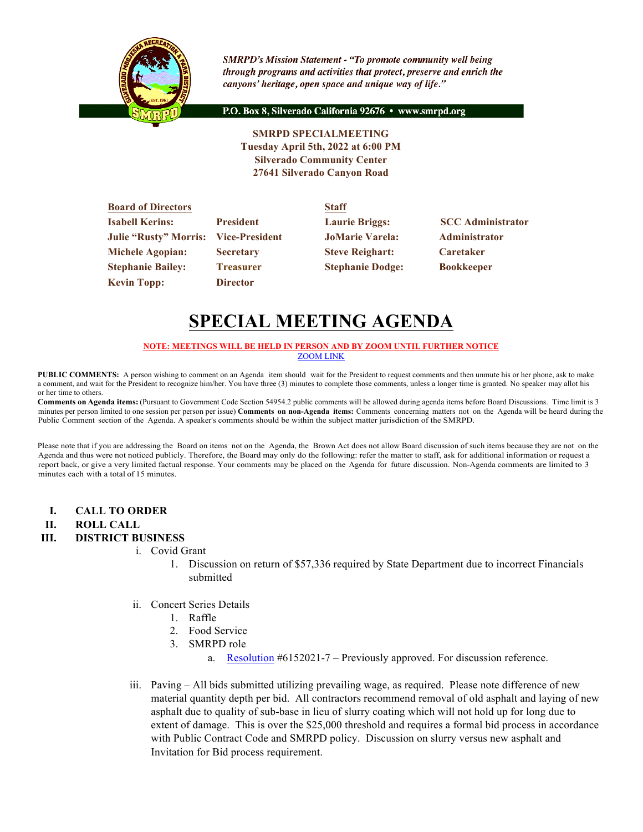

**SMRPD's Mission Statement - "To promote community well being** through programs and activities that protect, preserve and enrich the canyons' heritage, open space and unique way of life."

P.O. Box 8, Silverado California 92676 · www.smrpd.org

**SMRPD SPECIALMEETING Tuesday April 5th, 2022 at 6:00 PM Silverado Community Center 27641 Silverado Canyon Road**

| <b>Board of Directors</b>                   |                  | <b>Staff</b>            |                          |
|---------------------------------------------|------------------|-------------------------|--------------------------|
| <b>Isabell Kerins:</b>                      | <b>President</b> | <b>Laurie Briggs:</b>   | <b>SCC</b> Administrator |
| <b>Julie "Rusty" Morris: Vice-President</b> |                  | <b>JoMarie Varela:</b>  | <b>Administrator</b>     |
| <b>Michele Agopian:</b>                     | <b>Secretary</b> | <b>Steve Reighart:</b>  | <b>Caretaker</b>         |
| <b>Stephanie Bailey:</b>                    | <b>Treasurer</b> | <b>Stephanie Dodge:</b> | <b>Bookkeeper</b>        |
| <b>Kevin Topp:</b>                          | <b>Director</b>  |                         |                          |

# **SPECIAL MEETING AGENDA**

#### **NOTE: MEETINGS WILL BE HELD IN PERSON AND BY ZOOM UNTIL FURTHER NOTICE** ZOOM LINK

**PUBLIC COMMENTS:** A person wishing to comment on an Agenda item should wait for the President to request comments and then unmute his or her phone, ask to make a comment, and wait for the President to recognize him/her. You have three (3) minutes to complete those comments, unless a longer time is granted. No speaker may allot his or her time to others.

**Comments on Agenda items:** (Pursuant to Government Code Section 54954.2 public comments will be allowed during agenda items before Board Discussions. Time limit is 3 minutes per person limited to one session per person per issue) **Comments on non-Agenda items:** Comments concerning matters not on the Agenda will be heard during the Public Comment section of the Agenda. A speaker's comments should be within the subject matter jurisdiction of the SMRPD.

Please note that if you are addressing the Board on items not on the Agenda, the Brown Act does not allow Board discussion of such items because they are not on the Agenda and thus were not noticed publicly. Therefore, the Board may only do the following: refer the matter to staff, ask for additional information or request a report back, or give a very limited factual response. Your comments may be placed on the Agenda for future discussion. Non-Agenda comments are limited to 3 minutes each with a total of 15 minutes.

**I. CALL TO ORDER** 

### **II. ROLL CALL**

### **III. DISTRICT BUSINESS**

- i. Covid Grant
	- 1. Discussion on return of \$57,336 required by State Department due to incorrect Financials submitted
- ii. Concert Series Details
	- 1. Raffle
	- 2. Food Service
	- 3. SMRPD role
		- a. Resolution #6152021-7 Previously approved. For discussion reference.
- iii. Paving All bids submitted utilizing prevailing wage, as required. Please note difference of new material quantity depth per bid. All contractors recommend removal of old asphalt and laying of new asphalt due to quality of sub-base in lieu of slurry coating which will not hold up for long due to extent of damage. This is over the \$25,000 threshold and requires a formal bid process in accordance with Public Contract Code and SMRPD policy. Discussion on slurry versus new asphalt and Invitation for Bid process requirement.